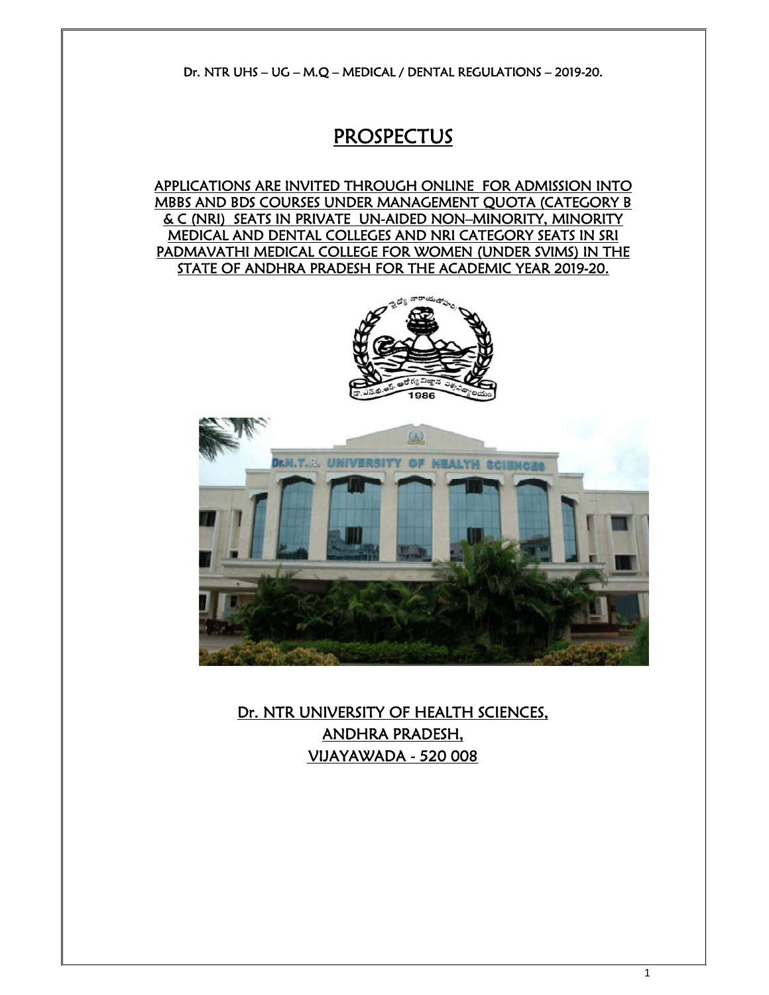Dr. NTR UHS – UG – M.Q – MEDICAL / DENTAL REGULATIONS – 2019-20.

# PROSPECTUS

APPLICATIONS ARE INVITED THROUGH ONLINE FOR ADMISSION INTO MBBS AND BDS COURSES UNDER MANAGEMENT QUOTA (CATEGORY B & C (NRI) SEATS IN PRIVATE UN-AIDED NON–MINORITY, MINORITY MEDICAL AND DENTAL COLLEGES AND NRI CATEGORY SEATS IN SRI PADMAVATHI MEDICAL COLLEGE FOR WOMEN (UNDER SVIMS) IN THE STATE OF ANDHRA PRADESH FOR THE ACADEMIC YEAR 2019-20.





Dr. NTR UNIVERSITY OF HEALTH SCIENCES, ANDHRA PRADESH, VIJAYAWADA - 520 008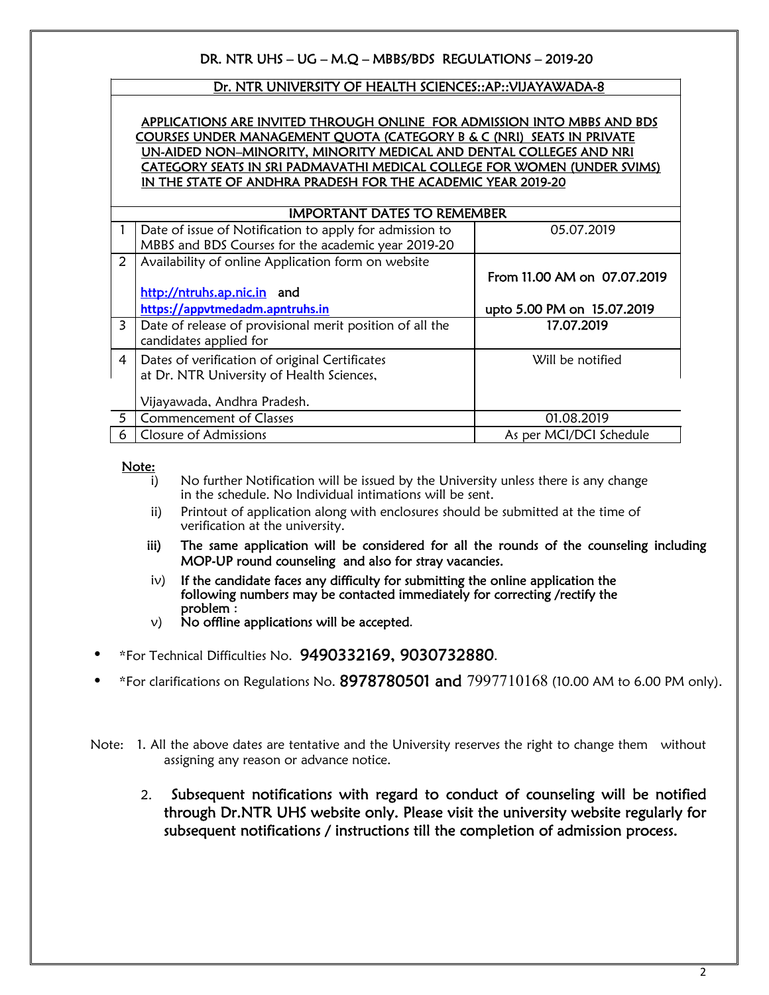# DR. NTR UHS – UG – M.Q – MBBS/BDS REGULATIONS – 2019-20

### Dr. NTR UNIVERSITY OF HEALTH SCIENCES::AP::VIJAYAWADA-8

### APPLICATIONS ARE INVITED THROUGH ONLINE FOR ADMISSION INTO MBBS AND BDS COURSES UNDER MANAGEMENT QUOTA (CATEGORY B & C (NRI) SEATS IN PRIVATE UN-AIDED NON–MINORITY, MINORITY MEDICAL AND DENTAL COLLEGES AND NRI CATEGORY SEATS IN SRI PADMAVATHI MEDICAL COLLEGE FOR WOMEN (UNDER SVIMS) IN THE STATE OF ANDHRA PRADESH FOR THE ACADEMIC YEAR 2019-20

| Date of issue of Notification to apply for admission to  | 05.07.2019                                                                           |  |  |  |  |
|----------------------------------------------------------|--------------------------------------------------------------------------------------|--|--|--|--|
| MBBS and BDS Courses for the academic year 2019-20       |                                                                                      |  |  |  |  |
| Availability of online Application form on website       |                                                                                      |  |  |  |  |
|                                                          | From 11.00 AM on 07.07.2019                                                          |  |  |  |  |
| http://ntruhs.ap.nic.in and                              |                                                                                      |  |  |  |  |
| https://appvtmedadm.apntruhs.in                          | upto 5.00 PM on 15.07.2019                                                           |  |  |  |  |
| Date of release of provisional merit position of all the | 17.07.2019                                                                           |  |  |  |  |
| candidates applied for                                   |                                                                                      |  |  |  |  |
|                                                          | Will be notified                                                                     |  |  |  |  |
| at Dr. NTR University of Health Sciences,                |                                                                                      |  |  |  |  |
|                                                          |                                                                                      |  |  |  |  |
| Vijayawada, Andhra Pradesh.                              |                                                                                      |  |  |  |  |
| <b>Commencement of Classes</b>                           | 01.08.2019                                                                           |  |  |  |  |
| Closure of Admissions                                    | As per MCI/DCI Schedule                                                              |  |  |  |  |
|                                                          | <b>IMPORTANT DATES TO REMEMBER</b><br>Dates of verification of original Certificates |  |  |  |  |

## Note:

- i) No further Notification will be issued by the University unless there is any change in the schedule. No Individual intimations will be sent.
- ii) Printout of application along with enclosures should be submitted at the time of verification at the university.
- iii) The same application will be considered for all the rounds of the counseling including MOP-UP round counseling and also for stray vacancies.
- $iv)$  If the candidate faces any difficulty for submitting the online application the following numbers may be contacted immediately for correcting /rectify the problem :
- $v$ ) No offline applications will be accepted.
- \*For Technical Difficulties No. 9490332169, 9030732880.
- \*For clarifications on Regulations No.  $8978780501$  and  $7997710168$  (10.00 AM to 6.00 PM only).

Note: 1. All the above dates are tentative and the University reserves the right to change them without assigning any reason or advance notice.

 2. Subsequent notifications with regard to conduct of counseling will be notified through Dr.NTR UHS website only. Please visit the university website regularly for subsequent notifications / instructions till the completion of admission process.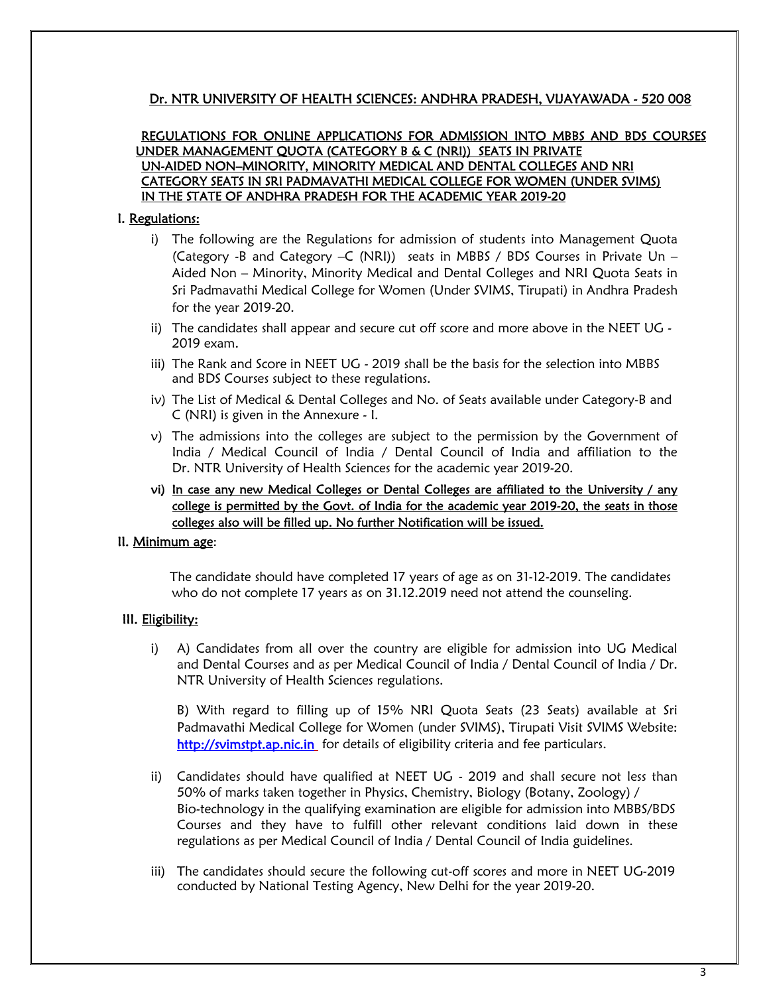# Dr. NTR UNIVERSITY OF HEALTH SCIENCES: ANDHRA PRADESH, VIJAYAWADA - 520 008

### REGULATIONS FOR ONLINE APPLICATIONS FOR ADMISSION INTO MBBS AND BDS COURSES UNDER MANAGEMENT QUOTA (CATEGORY B & C (NRI)) SEATS IN PRIVATE UN-AIDED NON–MINORITY, MINORITY MEDICAL AND DENTAL COLLEGES AND NRI CATEGORY SEATS IN SRI PADMAVATHI MEDICAL COLLEGE FOR WOMEN (UNDER SVIMS) IN THE STATE OF ANDHRA PRADESH FOR THE ACADEMIC YEAR 2019-20

### I. Regulations:

- i) The following are the Regulations for admission of students into Management Quota (Category -B and Category  $-C$  (NRI)) seats in MBBS / BDS Courses in Private Un – Aided Non – Minority, Minority Medical and Dental Colleges and NRI Quota Seats in Sri Padmavathi Medical College for Women (Under SVIMS, Tirupati) in Andhra Pradesh for the year 2019-20.
- ii) The candidates shall appear and secure cut off score and more above in the NEET UG -2019 exam.
- iii) The Rank and Score in NEET UG 2019 shall be the basis for the selection into MBBS and BDS Courses subject to these regulations.
- iv) The List of Medical & Dental Colleges and No. of Seats available under Category-B and C (NRI) is given in the Annexure - I.
- v) The admissions into the colleges are subject to the permission by the Government of India / Medical Council of India / Dental Council of India and affiliation to the Dr. NTR University of Health Sciences for the academic year 2019-20.
- vi) In case any new Medical Colleges or Dental Colleges are affiliated to the University / any college is permitted by the Govt. of India for the academic year 2019-20, the seats in those colleges also will be filled up. No further Notification will be issued.

### II. Minimum age:

 The candidate should have completed 17 years of age as on 31-12-2019. The candidates who do not complete 17 years as on 31.12.2019 need not attend the counseling.

### III. Eligibility:

i) A) Candidates from all over the country are eligible for admission into UG Medical and Dental Courses and as per Medical Council of India / Dental Council of India / Dr. NTR University of Health Sciences regulations.

B) With regard to filling up of 15% NRI Quota Seats (23 Seats) available at Sri Padmavathi Medical College for Women (under SVIMS), Tirupati Visit SVIMS Website: http://svimstpt.ap.nic.in for details of eligibility criteria and fee particulars.

- ii) Candidates should have qualified at NEET UG 2019 and shall secure not less than 50% of marks taken together in Physics, Chemistry, Biology (Botany, Zoology) / Bio-technology in the qualifying examination are eligible for admission into MBBS/BDS Courses and they have to fulfill other relevant conditions laid down in these regulations as per Medical Council of India / Dental Council of India guidelines.
- iii) The candidates should secure the following cut-off scores and more in NEET UG-2019 conducted by National Testing Agency, New Delhi for the year 2019-20.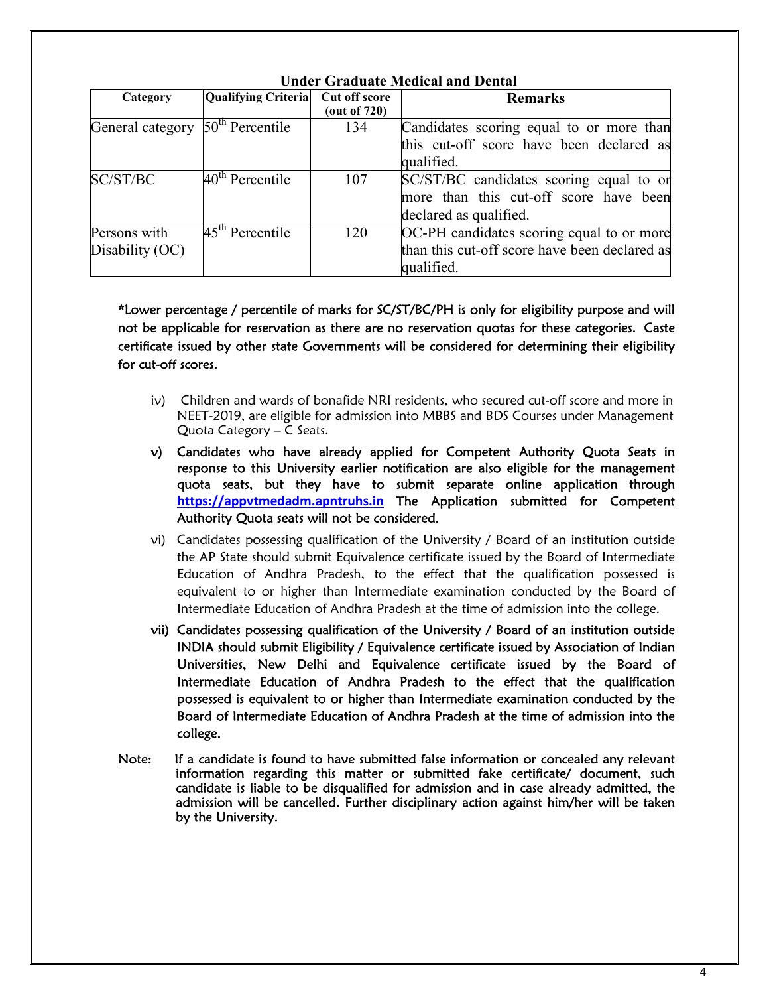| Category                                     | Qualifying Criteria         | Cut off score | <b>Remarks</b>                                |
|----------------------------------------------|-----------------------------|---------------|-----------------------------------------------|
|                                              |                             | (out of 720)  |                                               |
| General category 50 <sup>th</sup> Percentile |                             | 134           | Candidates scoring equal to or more than      |
|                                              |                             |               | this cut-off score have been declared as      |
|                                              |                             |               | qualified.                                    |
| SC/ST/BC                                     | 40 <sup>th</sup> Percentile | 107           | SC/ST/BC candidates scoring equal to or       |
|                                              |                             |               | more than this cut-off score have been        |
|                                              |                             |               | declared as qualified.                        |
| Persons with                                 | 45 <sup>th</sup> Percentile | 120           | OC-PH candidates scoring equal to or more     |
| Disability (OC)                              |                             |               | than this cut-off score have been declared as |
|                                              |                             |               | qualified.                                    |

**Under Graduate Medical and Dental**

\*Lower percentage / percentile of marks for SC/ST/BC/PH is only for eligibility purpose and will not be applicable for reservation as there are no reservation quotas for these categories. Caste certificate issued by other state Governments will be considered for determining their eligibility for cut-off scores.

- iv) Children and wards of bonafide NRI residents, who secured cut-off score and more in NEET-2019, are eligible for admission into MBBS and BDS Courses under Management Quota Category – C Seats.
- v) Candidates who have already applied for Competent Authority Quota Seats in response to this University earlier notification are also eligible for the management quota seats, but they have to submit separate online application through **https://appvtmedadm.apntruhs.in** The Application submitted for Competent Authority Quota seats will not be considered.
- vi) Candidates possessing qualification of the University / Board of an institution outside the AP State should submit Equivalence certificate issued by the Board of Intermediate Education of Andhra Pradesh, to the effect that the qualification possessed is equivalent to or higher than Intermediate examination conducted by the Board of Intermediate Education of Andhra Pradesh at the time of admission into the college.
- vii) Candidates possessing qualification of the University / Board of an institution outside INDIA should submit Eligibility / Equivalence certificate issued by Association of Indian Universities, New Delhi and Equivalence certificate issued by the Board of Intermediate Education of Andhra Pradesh to the effect that the qualification possessed is equivalent to or higher than Intermediate examination conducted by the Board of Intermediate Education of Andhra Pradesh at the time of admission into the college.
- Note: If a candidate is found to have submitted false information or concealed any relevant information regarding this matter or submitted fake certificate/ document, such candidate is liable to be disqualified for admission and in case already admitted, the admission will be cancelled. Further disciplinary action against him/her will be taken by the University.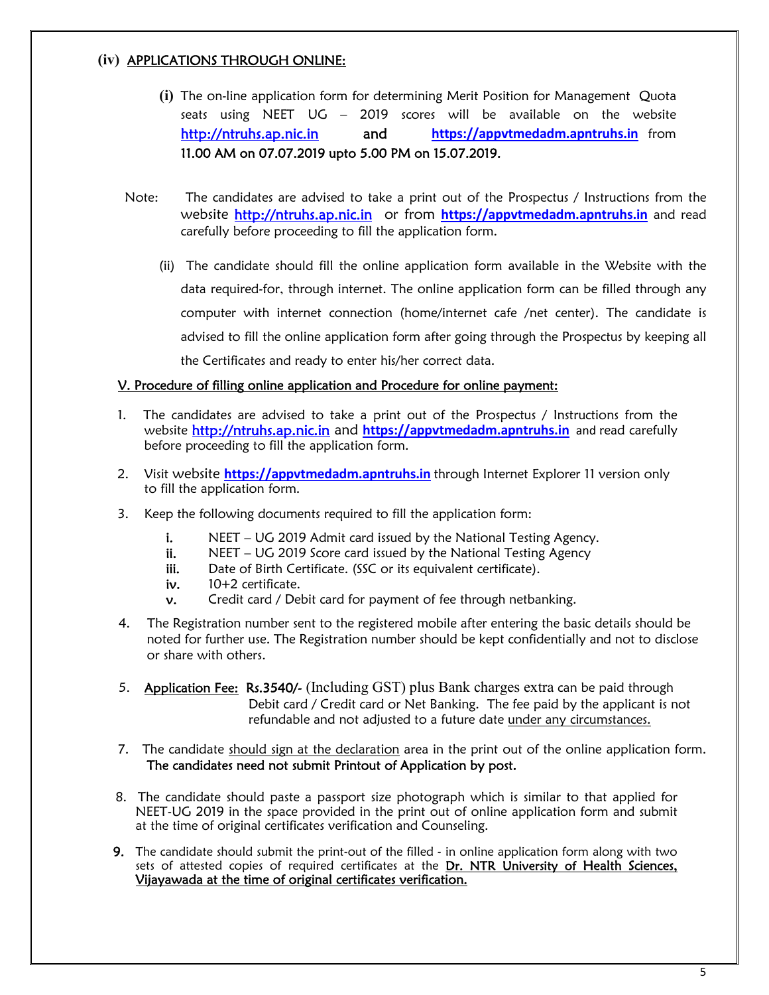# **(iv)** APPLICATIONS THROUGH ONLINE:

- **(i)** The on-line application form for determining Merit Position for Management Quota seats using NEET UG – 2019 scores will be available on the website http://ntruhs.ap.nic.in and **https://appvtmedadm.apntruhs.in** from 11.00 AM on 07.07.2019 upto 5.00 PM on 15.07.2019.
- Note: The candidates are advised to take a print out of the Prospectus / Instructions from the website http://ntruhs.ap.nic.in or from **https://appvtmedadm.apntruhs.in** and read carefully before proceeding to fill the application form.
	- (ii) The candidate should fill the online application form available in the Website with the data required-for, through internet. The online application form can be filled through any computer with internet connection (home/internet cafe /net center). The candidate is advised to fill the online application form after going through the Prospectus by keeping all the Certificates and ready to enter his/her correct data.

# V. Procedure of filling online application and Procedure for online payment:

- 1. The candidates are advised to take a print out of the Prospectus / Instructions from the website http://ntruhs.ap.nic.in and **https://appvtmedadm.apntruhs.in** and read carefully before proceeding to fill the application form.
- 2. Visit website **https://appvtmedadm.apntruhs.in** through Internet Explorer 11 version only to fill the application form.
- 3. Keep the following documents required to fill the application form:
	- i. NEET UG 2019 Admit card issued by the National Testing Agency.
	- ii. NEET UG 2019 Score card issued by the National Testing Agency<br>iii. Date of Birth Certificate. (SSC or its equivalent certificate).
	-
	-
	- iv.  $10+2$  certificate.<br>
	v. Credit card / Debit card for payment of fee through netbanking.
- 4. The Registration number sent to the registered mobile after entering the basic details should be noted for further use. The Registration number should be kept confidentially and not to disclose or share with others.
- 5. Application Fee: Rs.3540/- (Including GST) plus Bank charges extra can be paid through Debit card / Credit card or Net Banking. The fee paid by the applicant is not refundable and not adjusted to a future date under any circumstances.
- 7. The candidate should sign at the declaration area in the print out of the online application form. The candidates need not submit Printout of Application by post.
- 8. The candidate should paste a passport size photograph which is similar to that applied for NEET-UG 2019 in the space provided in the print out of online application form and submit at the time of original certificates verification and Counseling.
- **9.** The candidate should submit the print-out of the filled in online application form along with two sets of attested copies of required certificates at the Dr. NTR University of Health Sciences, Vijayawada at the time of original certificates verification.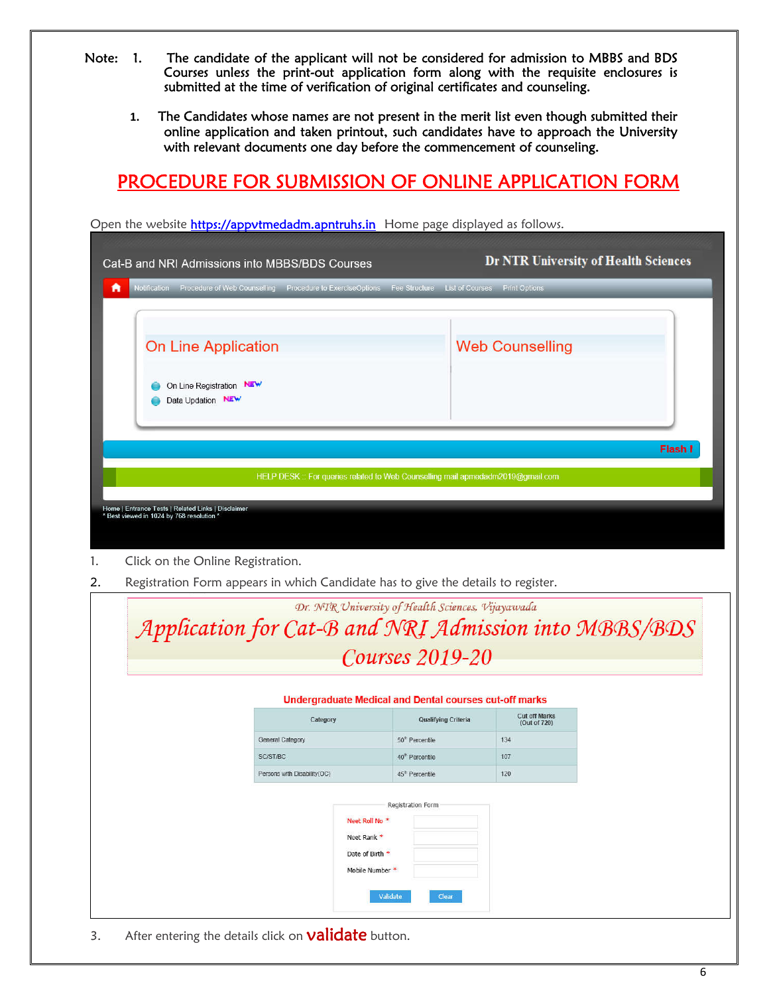- Note: 1. The candidate of the applicant will not be considered for admission to MBBS and BDS Courses unless the print-out application form along with the requisite enclosures is submitted at the time of verification of original certificates and counseling.
	- **1.** The Candidates whose names are not present in the merit list even though submitted their online application and taken printout, such candidates have to approach the University with relevant documents one day before the commencement of counseling.

# PROCEDURE FOR SUBMISSION OF ONLINE APPLICATION FORM

| Cat-B and NRI Admissions into MBBS/BDS Courses                                                  | Open the website https://appvtmedadm.aphtruns.in_nome page displayed as follows.                           |                             |                                      | <b>Dr NTR University of Health Sciences</b> |
|-------------------------------------------------------------------------------------------------|------------------------------------------------------------------------------------------------------------|-----------------------------|--------------------------------------|---------------------------------------------|
| A                                                                                               | Notification Procedure of Web Counselling Procedure to ExerciseOptions Fee Structure                       |                             | List of Courses Print Options        |                                             |
| <b>On Line Application</b><br>On Line Registration NEW<br>Data Updation NEW                     |                                                                                                            |                             | <b>Web Counselling</b>               |                                             |
|                                                                                                 |                                                                                                            |                             |                                      | Flash I                                     |
|                                                                                                 | HELP DESK :: For queries related to Web Counselling mail apmedadm2019@gmail.com                            |                             |                                      |                                             |
| Home   Entrance Tests   Related Links   Disclaimer<br>* Best viewed in 1024 by 768 resolution * |                                                                                                            |                             |                                      |                                             |
| Click on the Online Registration.                                                               |                                                                                                            |                             |                                      |                                             |
|                                                                                                 | Registration Form appears in which Candidate has to give the details to register.                          |                             |                                      |                                             |
|                                                                                                 | Dr. NTR University of Health Sciences, Vijayawada<br>Application for Cat-B and NRI Admission into MBBS/BDS |                             |                                      |                                             |
|                                                                                                 |                                                                                                            | Courses 2019-20             |                                      |                                             |
|                                                                                                 |                                                                                                            |                             |                                      |                                             |
|                                                                                                 | <b>Undergraduate Medical and Dental courses cut-off marks</b><br>Category                                  | <b>Qualifying Criteria</b>  | <b>Cut off Marks</b><br>(Out of 720) |                                             |
|                                                                                                 | General Category                                                                                           | 50 <sup>th</sup> Percentile | 134                                  |                                             |
|                                                                                                 | SC/ST/BC                                                                                                   | 40 <sup>th</sup> Percentile | 107                                  |                                             |
|                                                                                                 | Persons with Disability(OC)                                                                                | 45 <sup>th</sup> Percentile | 120                                  |                                             |
|                                                                                                 |                                                                                                            | Registration Form           |                                      |                                             |

Open the website <mark>https://appvtmedadm.apntruhs.in</mark> Home page displayed as follows.

3. After entering the details click on **validate** button.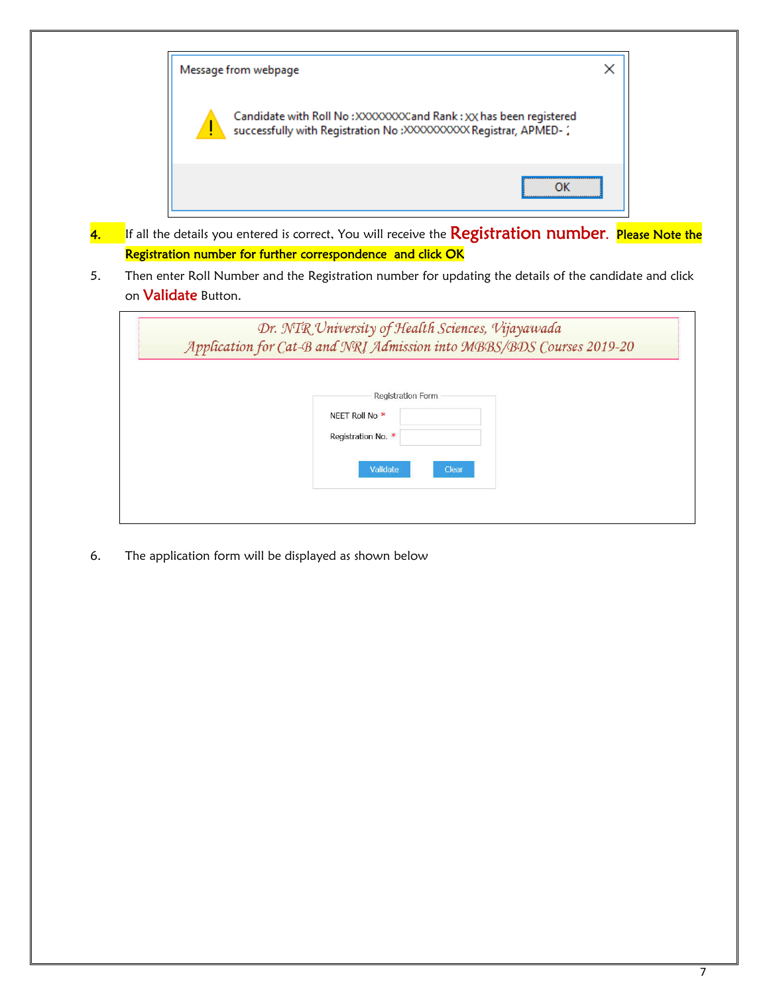

- 4. If all the details you entered is correct, You will receive the Registration number. Please Note the Registration number for further correspondence and click OK
- 5. Then enter Roll Number and the Registration number for updating the details of the candidate and click on **Validate** Button.

|  | Registration Form  |       |  |  |
|--|--------------------|-------|--|--|
|  | NEET Roll No *     |       |  |  |
|  | Registration No. * |       |  |  |
|  | Validate           | Clear |  |  |

6. The application form will be displayed as shown below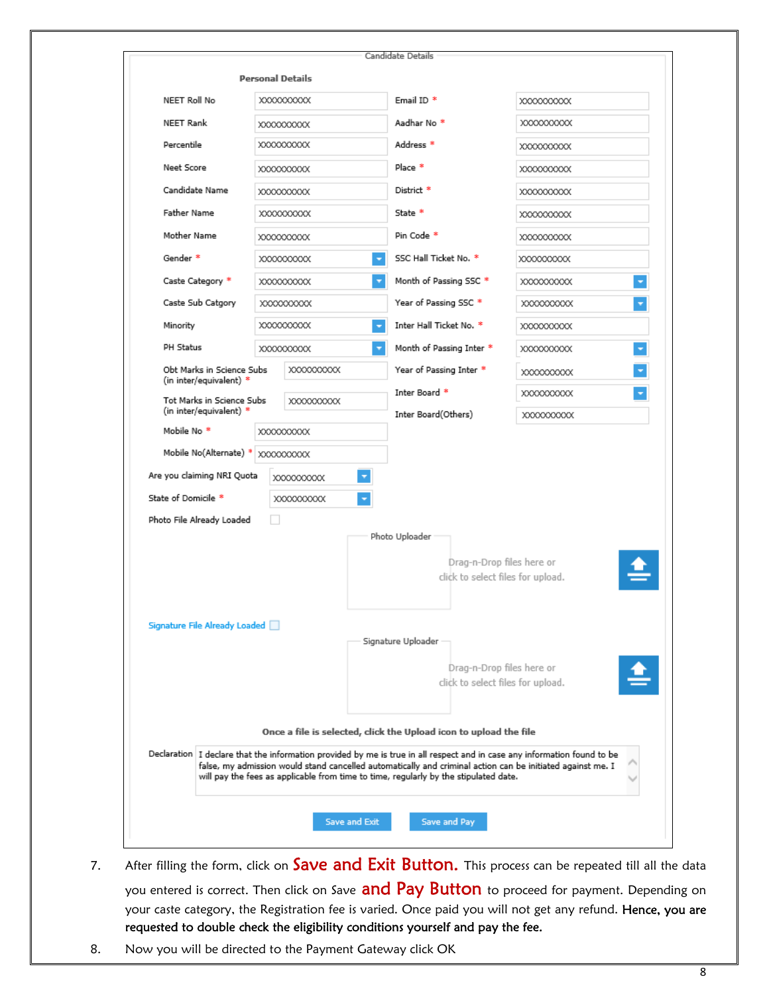|                           |                                                      |    | <b>Personal Details</b> |                          |                                                                                                                                                                                                                                                                                                                                |                                        |  |
|---------------------------|------------------------------------------------------|----|-------------------------|--------------------------|--------------------------------------------------------------------------------------------------------------------------------------------------------------------------------------------------------------------------------------------------------------------------------------------------------------------------------|----------------------------------------|--|
| NEET Roll No              |                                                      |    | XXXXXXXXX               |                          | Email ID <sup>*</sup>                                                                                                                                                                                                                                                                                                          | XXXXXXXXX                              |  |
| NEET Rank<br>XXXXXXXXX    |                                                      |    | Aadhar No <sup>*</sup>  | XXXXXXXXX                |                                                                                                                                                                                                                                                                                                                                |                                        |  |
|                           | Percentile<br>XXXXXXXXXX                             |    |                         | Address <sup>*</sup>     | XXXXXXXXX                                                                                                                                                                                                                                                                                                                      |                                        |  |
| Neet Score                |                                                      |    | XXXXXXXXX               |                          | Place *                                                                                                                                                                                                                                                                                                                        | XXXXXXXXXX                             |  |
| Candidate Name            |                                                      |    | XXXXXXXXX               |                          | District *                                                                                                                                                                                                                                                                                                                     | XXXXXXXXXX                             |  |
| Father Name               |                                                      |    | XXXXXXXXX               |                          | State *                                                                                                                                                                                                                                                                                                                        | XXXXXXXXXX                             |  |
| Mother Name               |                                                      |    | XXXXXXXXXX              |                          | Pin Code *                                                                                                                                                                                                                                                                                                                     | XXXXXXXXXX                             |  |
| Gender <sup>*</sup>       |                                                      |    | XXXXXXXXX               | $\overline{\phantom{a}}$ | SSC Hall Ticket No. *                                                                                                                                                                                                                                                                                                          | XXXXXXXXX                              |  |
| Caste Category *          |                                                      |    | XXXXXXXXX               |                          | Month of Passing SSC *                                                                                                                                                                                                                                                                                                         | ×<br>XXXXXXXXX                         |  |
| Caste Sub Catgory         |                                                      |    | XXXXXXXXXX              |                          | Year of Passing SSC *                                                                                                                                                                                                                                                                                                          | XXXXXXXXX<br>۳                         |  |
| Minority                  |                                                      |    | XXXXXXXXXX              |                          | Inter Hall Ticket No. *                                                                                                                                                                                                                                                                                                        | XXXXXXXXX                              |  |
| PH Status                 |                                                      |    | XXXXXXXXXX              | $\overline{\mathbf{v}}$  | Month of Passing Inter *                                                                                                                                                                                                                                                                                                       | ×<br>XXXXXXXXXX                        |  |
|                           | Obt Marks in Science Subs                            |    | XXXXXXXXXX              |                          | Year of Passing Inter *                                                                                                                                                                                                                                                                                                        | ۳<br>XXXXXXXXXX                        |  |
|                           | (in inter/equivalent) *<br>Tot Marks in Science Subs |    | XXXXXXXXX               |                          | Inter Board *                                                                                                                                                                                                                                                                                                                  | $\overline{\phantom{a}}$<br>XXXXXXXXXX |  |
|                           | (in inter/equivalent) $*$                            |    |                         |                          | Inter Board(Others)                                                                                                                                                                                                                                                                                                            | XXXXXXXXX                              |  |
| Mobile No <sup>*</sup>    |                                                      |    | XXXXXXXXXX              |                          |                                                                                                                                                                                                                                                                                                                                |                                        |  |
|                           | Mobile No(Alternate) * XXXXXXXXX                     |    |                         |                          |                                                                                                                                                                                                                                                                                                                                |                                        |  |
|                           | Are you claiming NRI Quota                           |    | XXXXXXXXX               | $\overline{\mathbf{v}}$  |                                                                                                                                                                                                                                                                                                                                |                                        |  |
| State of Domicile *       |                                                      |    | XXXXXXXXXX              | ٠                        |                                                                                                                                                                                                                                                                                                                                |                                        |  |
| Photo File Already Loaded |                                                      | L. |                         |                          |                                                                                                                                                                                                                                                                                                                                |                                        |  |
|                           |                                                      |    |                         |                          | Photo Uploader                                                                                                                                                                                                                                                                                                                 |                                        |  |
|                           |                                                      |    |                         |                          | Drag-n-Drop files here or                                                                                                                                                                                                                                                                                                      |                                        |  |
|                           |                                                      |    |                         |                          | click to select files for upload.                                                                                                                                                                                                                                                                                              |                                        |  |
|                           |                                                      |    |                         |                          |                                                                                                                                                                                                                                                                                                                                |                                        |  |
|                           | Signature File Already Loaded                        |    |                         |                          |                                                                                                                                                                                                                                                                                                                                |                                        |  |
|                           |                                                      |    |                         |                          | Signature Uploader                                                                                                                                                                                                                                                                                                             |                                        |  |
|                           |                                                      |    |                         |                          | Drag-n-Drop files here or                                                                                                                                                                                                                                                                                                      |                                        |  |
|                           |                                                      |    |                         |                          | click to select files for upload.                                                                                                                                                                                                                                                                                              |                                        |  |
|                           |                                                      |    |                         |                          |                                                                                                                                                                                                                                                                                                                                |                                        |  |
|                           |                                                      |    |                         |                          | Once a file is selected, click the Upload icon to upload the file                                                                                                                                                                                                                                                              |                                        |  |
|                           |                                                      |    |                         |                          | Declaration I declare that the information provided by me is true in all respect and in case any information found to be<br>false, my admission would stand cancelled automatically and criminal action can be initiated against me. I<br>will pay the fees as applicable from time to time, regularly by the stipulated date. |                                        |  |
|                           |                                                      |    |                         |                          |                                                                                                                                                                                                                                                                                                                                |                                        |  |

- 7. After filling the form, click on **Save and Exit Button.** This process can be repeated till all the data you entered is correct. Then click on Save and Pay Button to proceed for payment. Depending on your caste category, the Registration fee is varied. Once paid you will not get any refund. Hence, you are requested to double check the eligibility conditions yourself and pay the fee.
- 8. Now you will be directed to the Payment Gateway click OK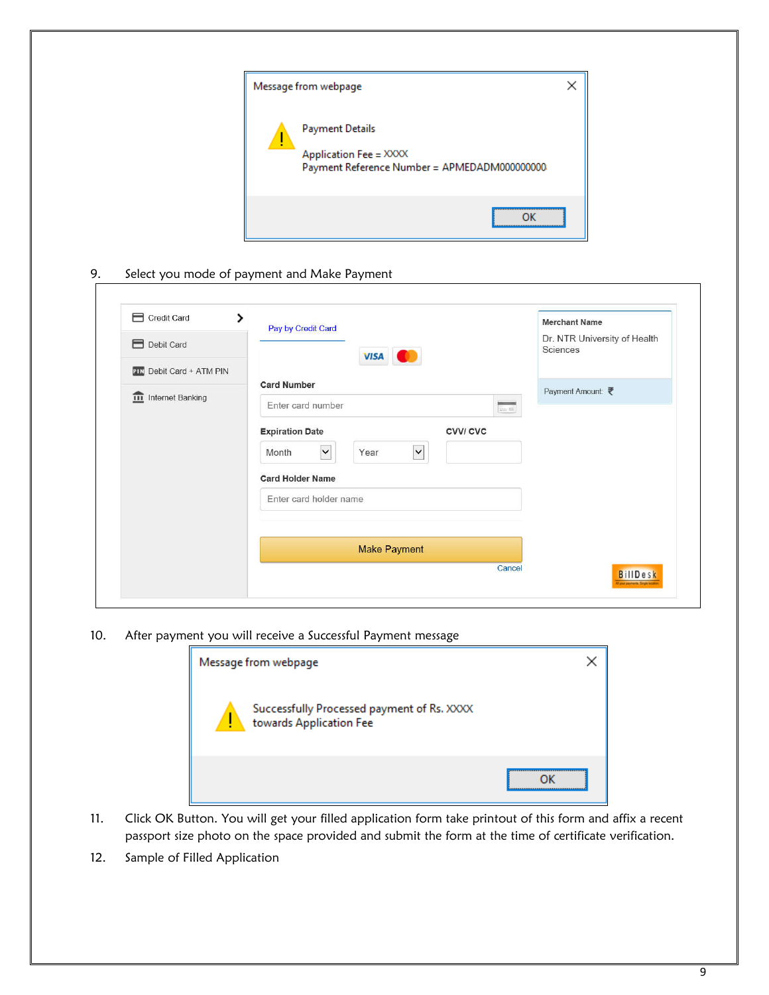| Message from webpage                                                                      |  |
|-------------------------------------------------------------------------------------------|--|
| Payment Details<br>Application Fee = XXXX<br>Payment Reference Number = APMEDADM000000000 |  |
|                                                                                           |  |

9. Select you mode of payment and Make Payment

| Credit Card<br>ゝ                | Pay by Credit Card                                                                   | <b>Merchant Name</b><br>Dr. NTR University of Health |
|---------------------------------|--------------------------------------------------------------------------------------|------------------------------------------------------|
| Debit Card                      | <b>VISA</b>                                                                          | Sciences                                             |
| <b>PIN</b> Debit Card + ATM PIN | <b>Card Number</b>                                                                   |                                                      |
| <b>III</b> Internet Banking     | Enter card number<br><b>Service</b>                                                  | Payment Amount:                                      |
|                                 | and fit.<br><b>Expiration Date</b><br><b>CVVI CVC</b><br>$\checkmark$<br>$\check{ }$ |                                                      |
|                                 | Year<br>Month<br><b>Card Holder Name</b>                                             |                                                      |
|                                 | Enter card holder name                                                               |                                                      |
|                                 | <b>Make Payment</b>                                                                  |                                                      |
|                                 | Cancel                                                                               | <b>BillDesk</b>                                      |

10. After payment you will receive a Successful Payment message



- 11. Click OK Button. You will get your filled application form take printout of this form and affix a recent passport size photo on the space provided and submit the form at the time of certificate verification.
- 12. Sample of Filled Application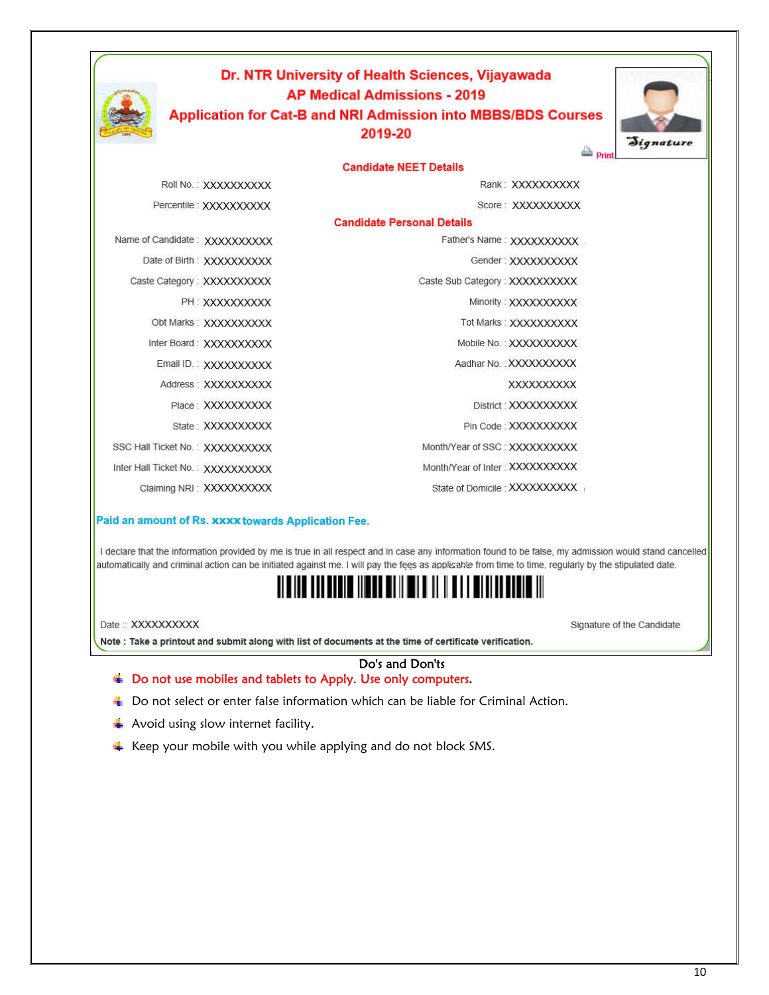|                                   | Dr. NTR University of Health Sciences, Vijayawada<br><b>AP Medical Admissions - 2019</b><br><b>Application for Cat-B and NRI Admission into MBBS/BDS Courses</b><br>2019-20 | Signature<br>Print             |
|-----------------------------------|-----------------------------------------------------------------------------------------------------------------------------------------------------------------------------|--------------------------------|
|                                   | <b>Candidate NEET Details</b>                                                                                                                                               |                                |
| Roll No.: XXXXXXXXXX              |                                                                                                                                                                             | Rank: XXXXXXXXXX               |
| Percentile: XXXXXXXXXX            |                                                                                                                                                                             | Score: XXXXXXXXXX              |
|                                   | <b>Candidate Personal Details</b>                                                                                                                                           |                                |
| Name of Candidate: XXXXXXXXXX     |                                                                                                                                                                             | Father's Name: XXXXXXXXXX      |
| Date of Birth: XXXXXXXXXX         |                                                                                                                                                                             | Gender: XXXXXXXXXX             |
| Caste Category: XXXXXXXXXX        | Caste Sub Category: XXXXXXXXXX                                                                                                                                              |                                |
| PH: XXXXXXXXXX                    |                                                                                                                                                                             | Minority: XXXXXXXXXX           |
| Obt Marks: XXXXXXXXXX             |                                                                                                                                                                             | Tot Marks: XXXXXXXXXX          |
| Inter Board: XXXXXXXXXX           |                                                                                                                                                                             | Mobile No.: XXXXXXXXXX         |
| Email ID.: XXXXXXXXXX             |                                                                                                                                                                             | Aadhar No.: XXXXXXXXXX         |
| Address: XXXXXXXXXX               |                                                                                                                                                                             | <b>XXXXXXXXXXX</b>             |
| Place: XXXXXXXXXX                 |                                                                                                                                                                             | District : XXXXXXXXXX          |
| State: XXXXXXXXXX                 |                                                                                                                                                                             | Pin Code: XXXXXXXXXX           |
| SSC Hall Ticket No.: XXXXXXXXXX   | Month/Year of SSC: XXXXXXXXXX                                                                                                                                               |                                |
| Inter Hall Ticket No.: XXXXXXXXXX | Month/Year of Inter : XXXXXXXXXX                                                                                                                                            |                                |
| Claiming NRI: XXXXXXXXX           |                                                                                                                                                                             | State of Domicile : XXXXXXXXXX |

#### Paid an amount of Rs. xxxx towards Application Fee.

I declare that the information provided by me is true in all respect and in case any information found to be false, my admission would stand cancelled automatically and criminal action can be initiated against me. I will pay the fees as applicable from time to time, regularly by the stipulated date.

# <u> Al Bildi dha bhain inn an Dain Middin an An Bhain an Bhain an </u>

Date:: XXXXXXXXXX

Signature of the Candidate

Note : Take a printout and submit along with list of documents at the time of certificate verification.

### Do's and Don'ts **■ Do not use mobiles and tablets to Apply. Use only computers.**

- $\downarrow$  Do not select or enter false information which can be liable for Criminal Action.
- $\blacktriangle$  Avoid using slow internet facility.
- $\ddot{\text{+}}$  Keep your mobile with you while applying and do not block SMS.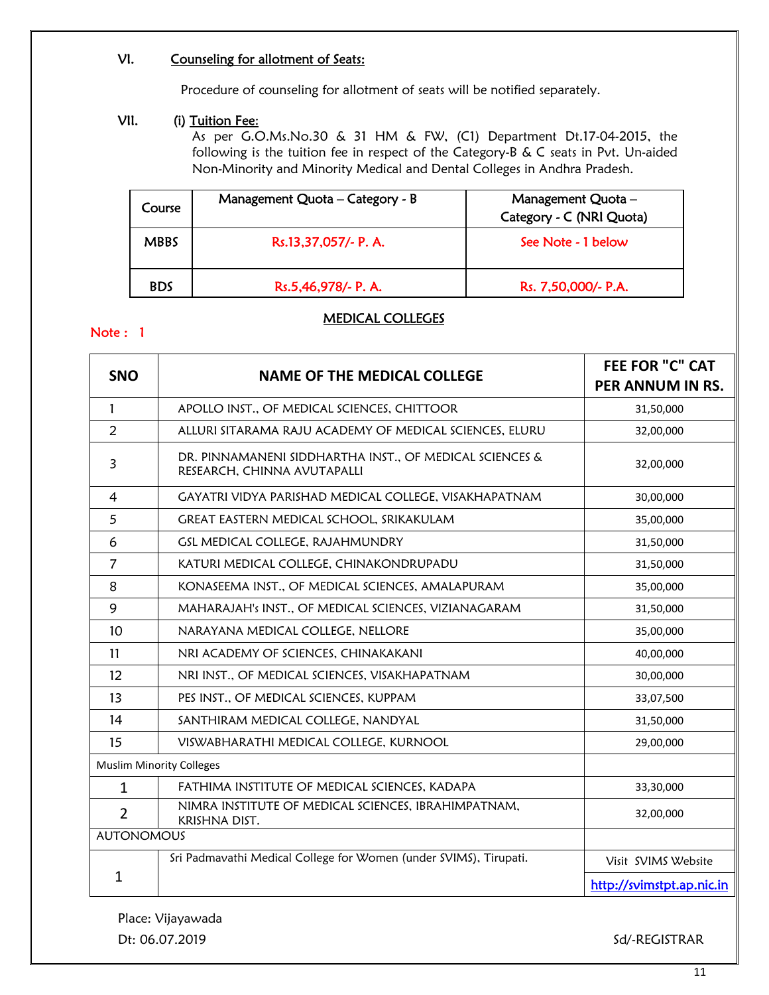# VI. Counseling for allotment of Seats:

Procedure of counseling for allotment of seats will be notified separately.

# VII. (i) Tuition Fee:

As per G.O.Ms.No.30 & 31 HM & FW, (C1) Department Dt.17-04-2015, the following is the tuition fee in respect of the Category-B & C seats in Pvt. Un-aided Non-Minority and Minority Medical and Dental Colleges in Andhra Pradesh.

| Course      | Management Quota - Category - B | Management Quota -<br>Category - C (NRI Quota) |
|-------------|---------------------------------|------------------------------------------------|
| <b>MBBS</b> | Rs.13,37,057/- P. A.            | See Note - 1 below                             |
| <b>BDS</b>  | Rs.5,46,978/- P. A.             | Rs. 7,50,000/- P.A.                            |

# MEDICAL COLLEGES

# Note : 1

|                   |                                                                                        | <b>FEE FOR "C" CAT</b>    |
|-------------------|----------------------------------------------------------------------------------------|---------------------------|
| <b>SNO</b>        | <b>NAME OF THE MEDICAL COLLEGE</b>                                                     | <b>PER ANNUM IN RS.</b>   |
| $\mathbf{1}$      | APOLLO INST., OF MEDICAL SCIENCES, CHITTOOR                                            | 31,50,000                 |
| $\overline{2}$    | ALLURI SITARAMA RAJU ACADEMY OF MEDICAL SCIENCES, ELURU                                | 32,00,000                 |
| 3                 | DR. PINNAMANENI SIDDHARTHA INST., OF MEDICAL SCIENCES &<br>RESEARCH, CHINNA AVUTAPALLI | 32,00,000                 |
| 4                 | GAYATRI VIDYA PARISHAD MEDICAL COLLEGE, VISAKHAPATNAM                                  | 30,00,000                 |
| 5                 | GREAT EASTERN MEDICAL SCHOOL, SRIKAKULAM                                               | 35,00,000                 |
| 6                 | GSL MEDICAL COLLEGE, RAJAHMUNDRY                                                       | 31,50,000                 |
| $\overline{7}$    | KATURI MEDICAL COLLEGE, CHINAKONDRUPADU                                                | 31,50,000                 |
| 8                 | KONASEEMA INST., OF MEDICAL SCIENCES, AMALAPURAM                                       | 35,00,000                 |
| 9                 | MAHARAJAH's INST., OF MEDICAL SCIENCES, VIZIANAGARAM                                   | 31,50,000                 |
| 10                | NARAYANA MEDICAL COLLEGE, NELLORE                                                      | 35,00,000                 |
| 11                | NRI ACADEMY OF SCIENCES, CHINAKAKANI                                                   | 40,00,000                 |
| 12                | NRI INST., OF MEDICAL SCIENCES, VISAKHAPATNAM                                          | 30,00,000                 |
| 13                | PES INST., OF MEDICAL SCIENCES, KUPPAM                                                 | 33,07,500                 |
| 14                | SANTHIRAM MEDICAL COLLEGE, NANDYAL                                                     | 31,50,000                 |
| 15                | VISWABHARATHI MEDICAL COLLEGE, KURNOOL                                                 | 29,00,000                 |
|                   | <b>Muslim Minority Colleges</b>                                                        |                           |
| $\mathbf{1}$      | FATHIMA INSTITUTE OF MEDICAL SCIENCES, KADAPA                                          | 33,30,000                 |
| $\overline{2}$    | NIMRA INSTITUTE OF MEDICAL SCIENCES, IBRAHIMPATNAM,<br>KRISHNA DIST.                   | 32,00,000                 |
| <b>AUTONOMOUS</b> |                                                                                        |                           |
|                   | Sri Padmavathi Medical College for Women (under SVIMS), Tirupati.                      | Visit SVIMS Website       |
| $\mathbf{1}$      |                                                                                        | http://svimstpt.ap.nic.in |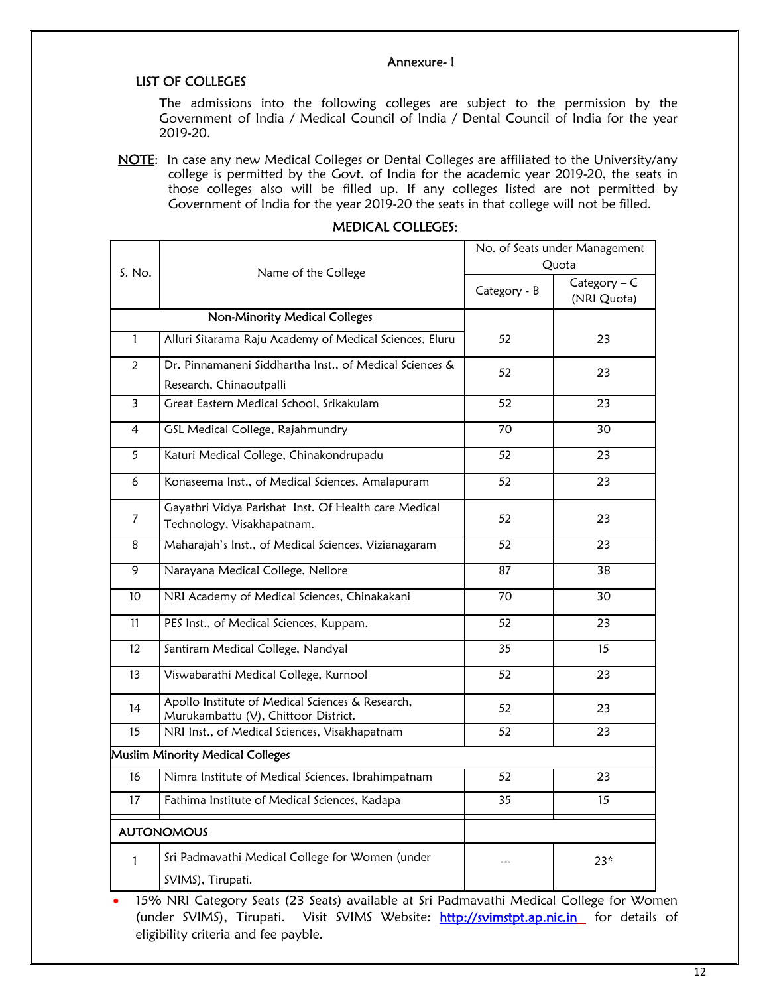# Annexure- I

## LIST OF COLLEGES

The admissions into the following colleges are subject to the permission by the Government of India / Medical Council of India / Dental Council of India for the year 2019-20.

NOTE: In case any new Medical Colleges or Dental Colleges are affiliated to the University/any college is permitted by the Govt. of India for the academic year 2019-20, the seats in those colleges also will be filled up. If any colleges listed are not permitted by Government of India for the year 2019-20 the seats in that college will not be filled.

|                   |                                                                                          | No. of Seats under Management<br>Quota |                               |  |
|-------------------|------------------------------------------------------------------------------------------|----------------------------------------|-------------------------------|--|
| S. No.            | Name of the College                                                                      | Category - B                           | $Category - C$<br>(NRI Quota) |  |
|                   | <b>Non-Minority Medical Colleges</b>                                                     |                                        |                               |  |
| $\mathbf{1}$      | Alluri Sitarama Raju Academy of Medical Sciences, Eluru                                  | 52                                     | 23                            |  |
| $\overline{2}$    | Dr. Pinnamaneni Siddhartha Inst., of Medical Sciences &                                  | 52                                     | 23                            |  |
|                   | Research, Chinaoutpalli                                                                  |                                        |                               |  |
| 3                 | Great Eastern Medical School, Srikakulam                                                 | 52                                     | 23                            |  |
| 4                 | GSL Medical College, Rajahmundry                                                         | 70                                     | 30                            |  |
| 5                 | Katuri Medical College, Chinakondrupadu                                                  | 52                                     | 23                            |  |
| 6                 | Konaseema Inst., of Medical Sciences, Amalapuram                                         | 52                                     | 23                            |  |
| $\overline{7}$    | Gayathri Vidya Parishat Inst. Of Health care Medical                                     | 52                                     | 23                            |  |
|                   | Technology, Visakhapatnam.                                                               |                                        |                               |  |
| 8                 | Maharajah's Inst., of Medical Sciences, Vizianagaram                                     | 52                                     | 23                            |  |
| 9                 | Narayana Medical College, Nellore                                                        | 87                                     | 38                            |  |
| 10                | NRI Academy of Medical Sciences, Chinakakani                                             | 70                                     | 30                            |  |
| 11                | PES Inst., of Medical Sciences, Kuppam.                                                  | 52                                     | 23                            |  |
| $12 \overline{ }$ | Santiram Medical College, Nandyal                                                        | 35                                     | 15                            |  |
| 13                | Viswabarathi Medical College, Kurnool                                                    | 52                                     | 23                            |  |
| 14                | Apollo Institute of Medical Sciences & Research,<br>Murukambattu (V), Chittoor District. | 52                                     | 23                            |  |
| 15                | NRI Inst., of Medical Sciences, Visakhapatnam                                            | 52                                     | 23                            |  |
|                   | Muslim Minority Medical Colleges                                                         |                                        |                               |  |
| 16                | Nimra Institute of Medical Sciences, Ibrahimpatnam                                       | 52                                     | 23                            |  |
| 17                | Fathima Institute of Medical Sciences, Kadapa                                            | 35                                     | 15                            |  |
|                   | <b>AUTONOMOUS</b>                                                                        |                                        |                               |  |
| $\mathbf{1}$      | Sri Padmavathi Medical College for Women (under                                          |                                        | $23*$                         |  |
|                   | SVIMS), Tirupati.                                                                        |                                        |                               |  |

### MEDICAL COLLEGES:

 15% NRI Category Seats (23 Seats) available at Sri Padmavathi Medical College for Women (under SVIMS), Tirupati. Visit SVIMS Website: http://svimstpt.ap.nic.in for details of eligibility criteria and fee payble.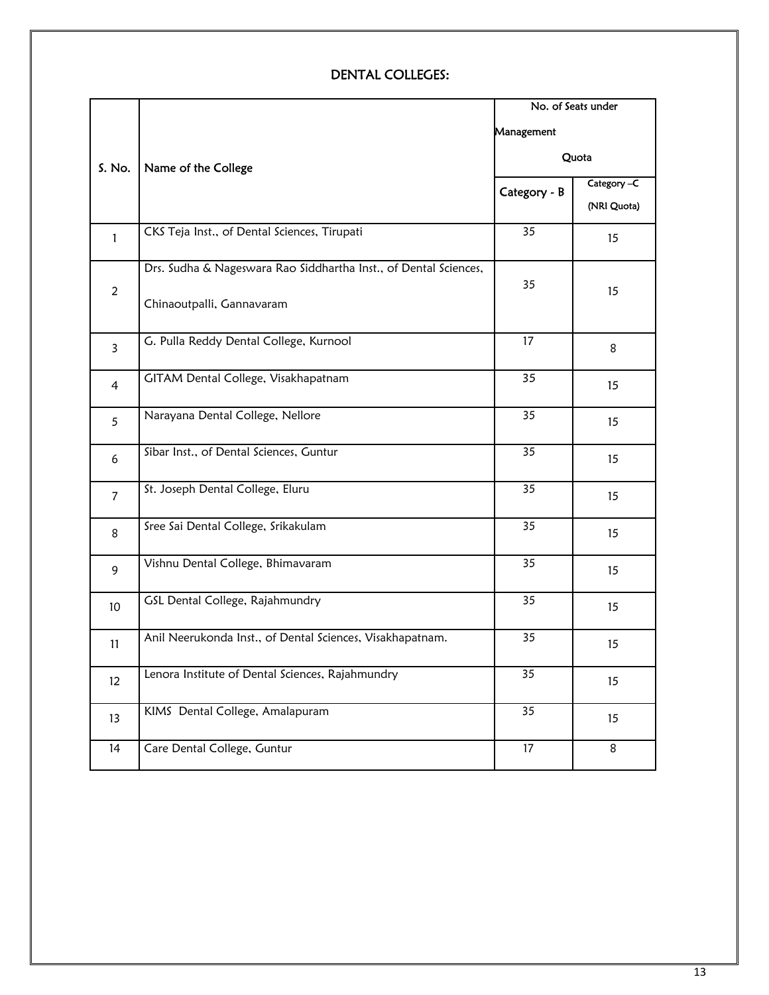# DENTAL COLLEGES:

|                         |                                                                                               |              | No. of Seats under         |  |
|-------------------------|-----------------------------------------------------------------------------------------------|--------------|----------------------------|--|
|                         |                                                                                               | Management   |                            |  |
| S. No.                  | Name of the College                                                                           | Quota        |                            |  |
|                         |                                                                                               | Category - B | Category -C<br>(NRI Quota) |  |
| $\mathbf{1}$            | CKS Teja Inst., of Dental Sciences, Tirupati                                                  | 35           | 15                         |  |
| $\overline{c}$          | Drs. Sudha & Nageswara Rao Siddhartha Inst., of Dental Sciences,<br>Chinaoutpalli, Gannavaram | 35           | 15                         |  |
| $\overline{\mathbf{3}}$ | G. Pulla Reddy Dental College, Kurnool                                                        | 17           | 8                          |  |
| $\overline{4}$          | GITAM Dental College, Visakhapatnam                                                           | 35           | 15                         |  |
| 5                       | Narayana Dental College, Nellore                                                              | 35           | 15                         |  |
| 6                       | Sibar Inst., of Dental Sciences, Guntur                                                       | 35           | 15                         |  |
| $\overline{7}$          | St. Joseph Dental College, Eluru                                                              | 35           | 15                         |  |
| 8                       | Sree Sai Dental College, Srikakulam                                                           | 35           | 15                         |  |
| 9                       | Vishnu Dental College, Bhimavaram                                                             | 35           | 15                         |  |
| 10 <sup>°</sup>         | GSL Dental College, Rajahmundry                                                               | 35           | 15                         |  |
| 11                      | Anil Neerukonda Inst., of Dental Sciences, Visakhapatnam.                                     | 35           | 15                         |  |
| $12 \overline{ }$       | Lenora Institute of Dental Sciences, Rajahmundry                                              | 35           | 15                         |  |
| 13                      | KIMS Dental College, Amalapuram                                                               | 35           | 15                         |  |
| 14                      | Care Dental College, Guntur                                                                   | 17           | 8                          |  |